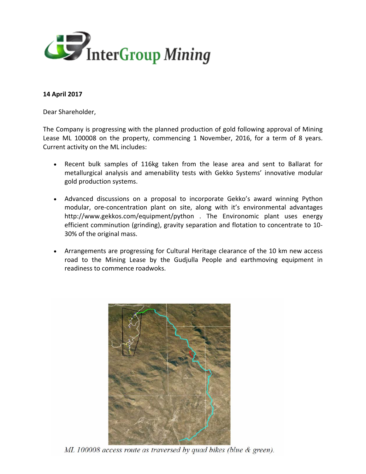

## **14 April 2017**

Dear Shareholder,

The Company is progressing with the planned production of gold following approval of Mining Lease ML 100008 on the property, commencing 1 November, 2016, for a term of 8 years. Current activity on the ML includes:

- Recent bulk samples of 116kg taken from the lease area and sent to Ballarat for metallurgical analysis and amenability tests with Gekko Systems' innovative modular gold production systems.
- Advanced discussions on a proposal to incorporate Gekko's award winning Python modular, ore-concentration plant on site, along with it's environmental advantages http://www.gekkos.com/equipment/python . The Environomic plant uses energy efficient comminution (grinding), gravity separation and flotation to concentrate to 10- 30% of the original mass.
- Arrangements are progressing for Cultural Heritage clearance of the 10 km new access road to the Mining Lease by the Gudjulla People and earthmoving equipment in readiness to commence roadwoks.



ML 100008 access route as traversed by quad bikes (blue & green).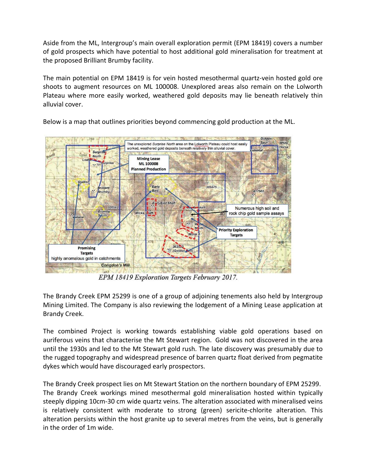Aside from the ML, Intergroup's main overall exploration permit (EPM 18419) covers a number of gold prospects which have potential to host additional gold mineralisation for treatment at the proposed Brilliant Brumby facility.

The main potential on EPM 18419 is for vein hosted mesothermal quartz-vein hosted gold ore shoots to augment resources on ML 100008. Unexplored areas also remain on the Lolworth Plateau where more easily worked, weathered gold deposits may lie beneath relatively thin alluvial cover.



Below is a map that outlines priorities beyond commencing gold production at the ML.

EPM 18419 Exploration Targets February 2017.

The Brandy Creek EPM 25299 is one of a group of adjoining tenements also held by Intergroup Mining Limited. The Company is also reviewing the lodgement of a Mining Lease application at Brandy Creek.

The combined Project is working towards establishing viable gold operations based on auriferous veins that characterise the Mt Stewart region. Gold was not discovered in the area until the 1930s and led to the Mt Stewart gold rush. The late discovery was presumably due to the rugged topography and widespread presence of barren quartz float derived from pegmatite dykes which would have discouraged early prospectors.

The Brandy Creek prospect lies on Mt Stewart Station on the northern boundary of EPM 25299. The Brandy Creek workings mined mesothermal gold mineralisation hosted within typically steeply dipping 10cm-30 cm wide quartz veins. The alteration associated with mineralised veins is relatively consistent with moderate to strong (green) sericite-chlorite alteration. This alteration persists within the host granite up to several metres from the veins, but is generally in the order of 1m wide.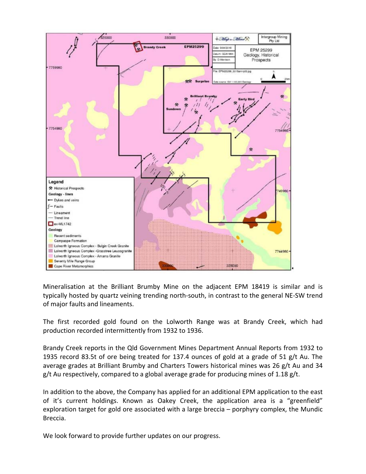

Mineralisation at the Brilliant Brumby Mine on the adjacent EPM 18419 is similar and is typically hosted by quartz veining trending north-south, in contrast to the general NE-SW trend of major faults and lineaments.

The first recorded gold found on the Lolworth Range was at Brandy Creek, which had production recorded intermittently from 1932 to 1936.

Brandy Creek reports in the Qld Government Mines Department Annual Reports from 1932 to 1935 record 83.5t of ore being treated for 137.4 ounces of gold at a grade of 51 g/t Au. The average grades at Brilliant Brumby and Charters Towers historical mines was 26 g/t Au and 34  $g/t$  Au respectively, compared to a global average grade for producing mines of 1.18  $g/t$ .

In addition to the above, the Company has applied for an additional EPM application to the east of it's current holdings. Known as Oakey Creek, the application area is a "greenfield" exploration target for gold ore associated with a large breccia – porphyry complex, the Mundic Breccia.

We look forward to provide further updates on our progress.